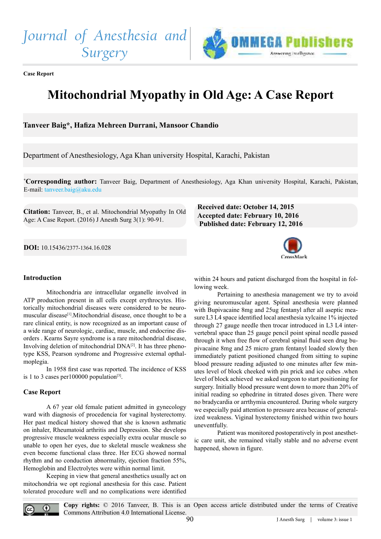*Journal of Anesthesia and Surgery*



**Case Report**

# **Mitochondrial Myopathy in Old Age: A Case Report**

**Tanveer Baig\*, Haiza Mehreen Durrani, Mansoor Chandio**

Department of Anesthesiology, Aga Khan university Hospital, Karachi, Pakistan

**\*Corresponding author:** Tanveer Baig, Department of Anesthesiology, Aga Khan university Hospital, Karachi, Pakistan, E-mail: [tanveer.baig@aku.edu](mailto:tanveer.baig%40aku.edu?subject=)

**Citation:** Tanveer, B., et al. Mitochondrial Myopathy In Old Age: A Case Report. (2016) J Anesth Surg 3(1): 90-91.

# **Received date: October 14, 2015 Accepted date: February 10, 2016 Published date: February 12, 2016**

**DOI:** [10.15436/](http://www.dx.doi.org/10.15436/2377-1364.16.028)2377-1364.16.028



# **Introduction**

Mitochondria are intracellular organelle involved in ATP production present in all cells except erythrocytes. Historically mitochondrial diseases were considered to be neuromuscular disease[\[1\]](#page-1-0).Mitochondrial disease, once thought to be a rare clinical entity, is now recognized as an important cause of a wide range of neurologic, cardiac, muscle, and endocrine disorders . Kearns Sayre syndrome is a rare mitochondrial disease, Involving deletion of mitochondrial DNA[\[2\]](#page-1-1). It has three phenotype KSS, Pearson syndrome and Progressive external opthalmoplegia.

In 1958 first case was reported. The incidence of KSS is 1 to 3 cases per  $100000$  population<sup>[\[3\]](#page-1-2)</sup>.

#### **Case Report**

A 67 year old female patient admitted in gynecology ward with diagnosis of procedencia for vaginal hysterectomy. Her past medical history showed that she is known asthmatic on inhaler, Rheumatoid arthritis and Depression. She develops progressive muscle weakness especially extra ocular muscle so unable to open her eyes, due to skeletal muscle weakness she even become functional class three. Her ECG showed normal rhythm and no conduction abnormality, ejection fraction 55%, Hemoglobin and Electrolytes were within normal limit.

 Keeping in view that general anesthetics usually act on mitochondria we opt regional anesthesia for this case. Patient tolerated procedure well and no complications were identified

within 24 hours and patient discharged from the hospital in following week.

 Pertaining to anesthesia management we try to avoid giving neuromuscular agent. Spinal anesthesia were planned with Bupivacaine 8mg and 25ug fentanyl after all aseptic measure L3 L4 space identified local anesthesia xylcaine 1% injected through 27 gauge needle then trocar introduced in L3 L4 intervertebral space than 25 gauge pencil point spinal needle passed through it when free flow of cerebral spinal fluid seen drug bupivacaine 8mg and 25 micro gram fentanyl loaded slowly then immediately patient positioned changed from sitting to supine blood pressure reading adjusted to one minutes after few minutes level of block cheeked with pin prick and ice cubes .when level of block achieved we asked surgeon to start positioning for surgery. Initially blood pressure went down to more than 20% of initial reading so ephedrine in titrated doses given. There were no bradycardia or arrthymia encountered. During whole surgery we especially paid attention to pressure area because of generalized weakness. Viginal hysterectomy finished within two hours uneventfully.

 Patient was monitored postoperatively in post anesthetic care unit, she remained vitally stable and no adverse event happened, shown in figure.



**Copy rights:** © 2016 Tanveer, B. This is an Open access article distributed under the terms of Creative Commons Attribution 4.0 International License.